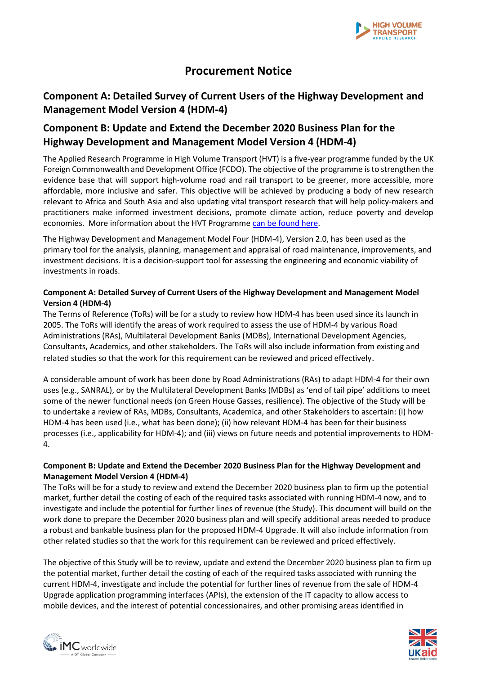

# **Procurement Notice**

### **Component A: Detailed Survey of Current Users of the Highway Development and Management Model Version 4 (HDM-4)**

## **Component B: Update and Extend the December 2020 Business Plan for the Highway Development and Management Model Version 4 (HDM-4)**

The Applied Research Programme in High Volume Transport (HVT) is a five-year programme funded by the UK Foreign Commonwealth and Development Office (FCDO). The objective of the programme is to strengthen the evidence base that will support high-volume road and rail transport to be greener, more accessible, more affordable, more inclusive and safer. This objective will be achieved by producing a body of new research relevant to Africa and South Asia and also updating vital transport research that will help policy-makers and practitioners make informed investment decisions, promote climate action, reduce poverty and develop economies. More information about the HVT Programme [can be found here.](https://transport-links.com/about/)

The Highway Development and Management Model Four (HDM-4), Version 2.0, has been used as the primary tool for the analysis, planning, management and appraisal of road maintenance, improvements, and investment decisions. It is a decision-support tool for assessing the engineering and economic viability of investments in roads.

### **Component A: Detailed Survey of Current Users of the Highway Development and Management Model Version 4 (HDM-4)**

The Terms of Reference (ToRs) will be for a study to review how HDM-4 has been used since its launch in 2005. The ToRs will identify the areas of work required to assess the use of HDM-4 by various Road Administrations (RAs), Multilateral Development Banks (MDBs), International Development Agencies, Consultants, Academics, and other stakeholders. The ToRs will also include information from existing and related studies so that the work for this requirement can be reviewed and priced effectively.

A considerable amount of work has been done by Road Administrations (RAs) to adapt HDM-4 for their own uses (e.g., SANRAL), or by the Multilateral Development Banks (MDBs) as 'end of tail pipe' additions to meet some of the newer functional needs (on Green House Gasses, resilience). The objective of the Study will be to undertake a review of RAs, MDBs, Consultants, Academica, and other Stakeholders to ascertain: (i) how HDM-4 has been used (i.e., what has been done); (ii) how relevant HDM-4 has been for their business processes (i.e., applicability for HDM-4); and (iii) views on future needs and potential improvements to HDM-4.

#### **Component B: Update and Extend the December 2020 Business Plan for the Highway Development and Management Model Version 4 (HDM-4)**

The ToRs will be for a study to review and extend the December 2020 business plan to firm up the potential market, further detail the costing of each of the required tasks associated with running HDM-4 now, and to investigate and include the potential for further lines of revenue (the Study). This document will build on the work done to prepare the December 2020 business plan and will specify additional areas needed to produce a robust and bankable business plan for the proposed HDM-4 Upgrade. It will also include information from other related studies so that the work for this requirement can be reviewed and priced effectively.

The objective of this Study will be to review, update and extend the December 2020 business plan to firm up the potential market, further detail the costing of each of the required tasks associated with running the current HDM-4, investigate and include the potential for further lines of revenue from the sale of HDM-4 Upgrade application programming interfaces (APIs), the extension of the IT capacity to allow access to mobile devices, and the interest of potential concessionaires, and other promising areas identified in